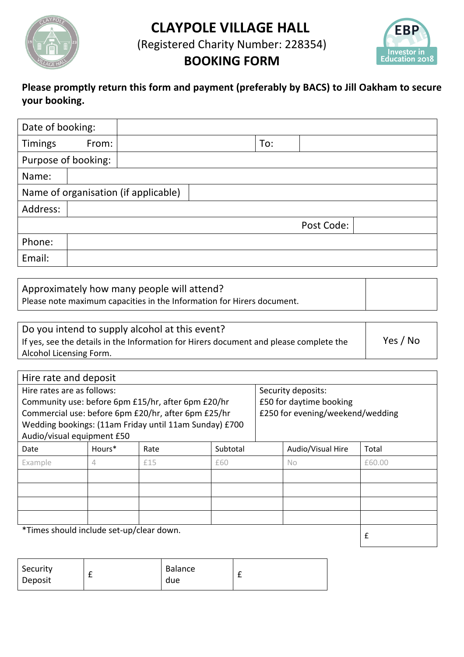**CLAYPOLE VILLAGE HALL**



(Registered Charity Number: 228354)



# **BOOKING FORM**

### **Please promptly return this form and payment (preferably by BACS) to Jill Oakham to secure your booking.**

| Date of booking:                     |       |  |     |            |  |
|--------------------------------------|-------|--|-----|------------|--|
| <b>Timings</b>                       | From: |  | To: |            |  |
| Purpose of booking:                  |       |  |     |            |  |
| Name:                                |       |  |     |            |  |
| Name of organisation (if applicable) |       |  |     |            |  |
| Address:                             |       |  |     |            |  |
|                                      |       |  |     | Post Code: |  |
| Phone:                               |       |  |     |            |  |
| Email:                               |       |  |     |            |  |

| Approximately how many people will attend?                             |  |
|------------------------------------------------------------------------|--|
| Please note maximum capacities in the Information for Hirers document. |  |

| Do you intend to supply alcohol at this event?                                         |          |
|----------------------------------------------------------------------------------------|----------|
| If yes, see the details in the Information for Hirers document and please complete the | Yes / No |
| Alcohol Licensing Form.                                                                |          |

| Hire rate and deposit                                  |        |      |          |                         |                                  |        |  |
|--------------------------------------------------------|--------|------|----------|-------------------------|----------------------------------|--------|--|
| Hire rates are as follows:                             |        |      |          | Security deposits:      |                                  |        |  |
| Community use: before 6pm £15/hr, after 6pm £20/hr     |        |      |          | £50 for daytime booking |                                  |        |  |
| Commercial use: before 6pm £20/hr, after 6pm £25/hr    |        |      |          |                         | £250 for evening/weekend/wedding |        |  |
| Wedding bookings: (11am Friday until 11am Sunday) £700 |        |      |          |                         |                                  |        |  |
| Audio/visual equipment £50                             |        |      |          |                         |                                  |        |  |
| Date                                                   | Hours* | Rate | Subtotal |                         | Audio/Visual Hire                | Total  |  |
| Example                                                | 4      | £15  | £60      |                         | No                               | £60.00 |  |
|                                                        |        |      |          |                         |                                  |        |  |
|                                                        |        |      |          |                         |                                  |        |  |
|                                                        |        |      |          |                         |                                  |        |  |
|                                                        |        |      |          |                         |                                  |        |  |
| *Times should include set-up/clear down.               |        |      |          |                         |                                  | £      |  |